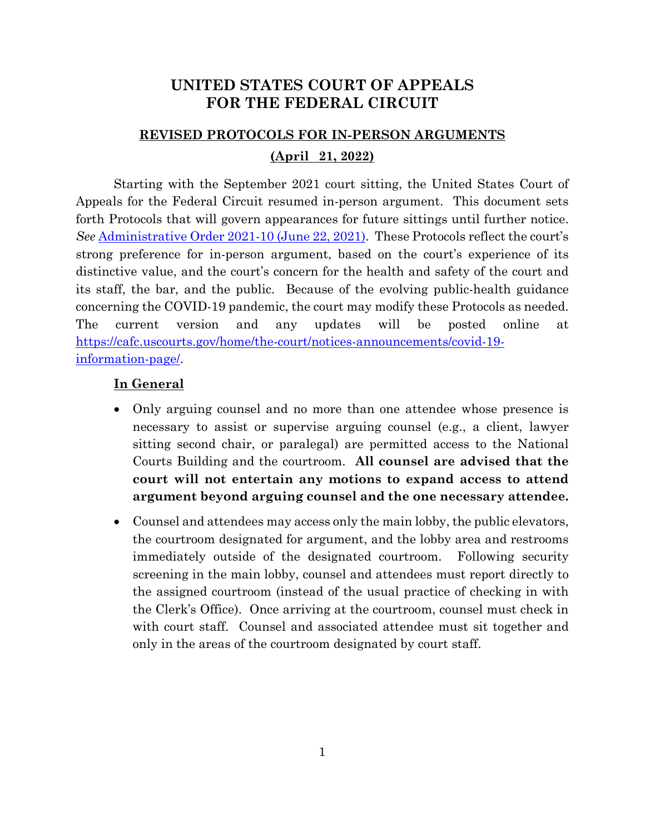# **UNITED STATES COURT OF APPEALS FOR THE FEDERAL CIRCUIT**

# **REVISED PROTOCOLS FOR IN-PERSON ARGUMENTS**

### **(April 21, 2022)**

Starting with the September 2021 court sitting, the United States Court of Appeals for the Federal Circuit resumed in-person argument. This document sets forth Protocols that will govern appearances for future sittings until further notice. *See* [Administrative Order 2021-10 \(June 22, 2021\).](https://cafc.uscourts.gov/wp-content/uploads/AdministrativeOrder-2021-10-06222021.pdf) These Protocols reflect the court's strong preference for in-person argument, based on the court's experience of its distinctive value, and the court's concern for the health and safety of the court and its staff, the bar, and the public. Because of the evolving public-health guidance concerning the COVID-19 pandemic, the court may modify these Protocols as needed. The current version and any updates will be posted online at [https://cafc.uscourts.gov/home/the-court/notices-announcements/covid-19](https://cafc.uscourts.gov/home/the-court/notices-announcements/covid-19-information-page/) [information-page/.](https://cafc.uscourts.gov/home/the-court/notices-announcements/covid-19-information-page/)

#### **In General**

- Only arguing counsel and no more than one attendee whose presence is necessary to assist or supervise arguing counsel (e.g., a client, lawyer sitting second chair, or paralegal) are permitted access to the National Courts Building and the courtroom. **All counsel are advised that the court will not entertain any motions to expand access to attend argument beyond arguing counsel and the one necessary attendee.**
- Counsel and attendees may access only the main lobby, the public elevators, the courtroom designated for argument, and the lobby area and restrooms immediately outside of the designated courtroom. Following security screening in the main lobby, counsel and attendees must report directly to the assigned courtroom (instead of the usual practice of checking in with the Clerk's Office). Once arriving at the courtroom, counsel must check in with court staff. Counsel and associated attendee must sit together and only in the areas of the courtroom designated by court staff.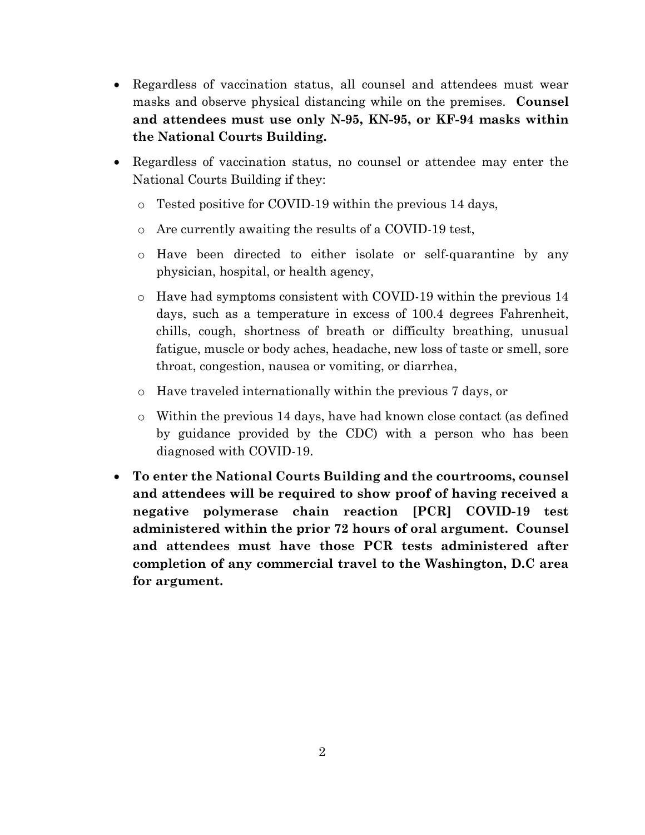- Regardless of vaccination status, all counsel and attendees must wear masks and observe physical distancing while on the premises. **Counsel and attendees must use only N-95, KN-95, or KF-94 masks within the National Courts Building.**
- Regardless of vaccination status, no counsel or attendee may enter the National Courts Building if they:
	- o Tested positive for COVID-19 within the previous 14 days,
	- o Are currently awaiting the results of a COVID-19 test,
	- o Have been directed to either isolate or self-quarantine by any physician, hospital, or health agency,
	- o Have had symptoms consistent with COVID-19 within the previous 14 days, such as a temperature in excess of 100.4 degrees Fahrenheit, chills, cough, shortness of breath or difficulty breathing, unusual fatigue, muscle or body aches, headache, new loss of taste or smell, sore throat, congestion, nausea or vomiting, or diarrhea,
	- o Have traveled internationally within the previous 7 days, or
	- o Within the previous 14 days, have had known close contact (as defined by guidance provided by the CDC) with a person who has been diagnosed with COVID-19.
- **To enter the National Courts Building and the courtrooms, counsel and attendees will be required to show proof of having received a negative polymerase chain reaction [PCR] COVID-19 test administered within the prior 72 hours of oral argument. Counsel and attendees must have those PCR tests administered after completion of any commercial travel to the Washington, D.C area for argument.**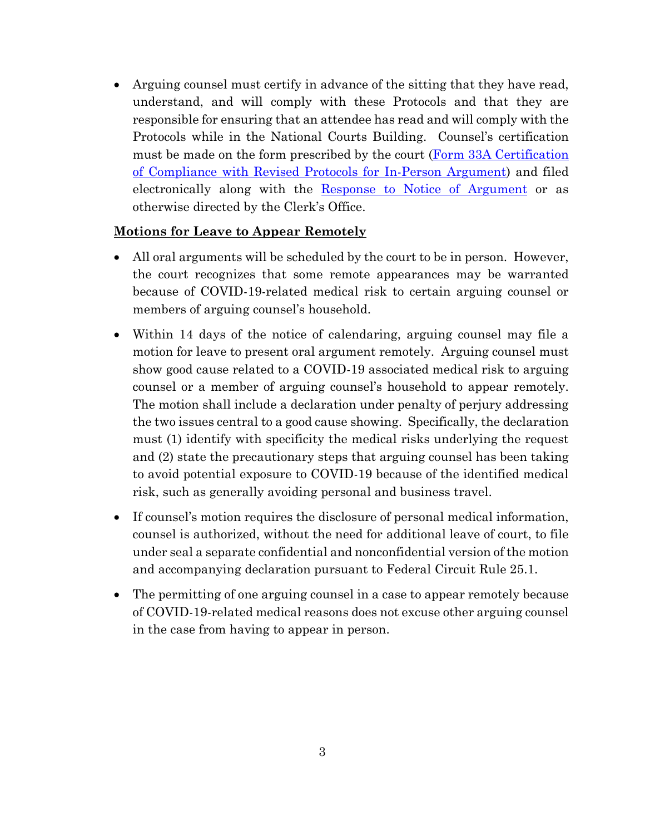• Arguing counsel must certify in advance of the sitting that they have read, understand, and will comply with these Protocols and that they are responsible for ensuring that an attendee has read and will comply with the Protocols while in the National Courts Building. Counsel's certification must be made on the form prescribed by the court (Form 33A Certification [of Compliance with Revised Protocols for In-Person Argument\)](http://www.cafc.uscourts.gov/sites/default/files/rules-of-practice/forms/form33a.pdf) and filed electronically along with the [Response to Notice of Argument](https://cafc.uscourts.gov/wp-content/uploads/form33.pdf) or as otherwise directed by the Clerk's Office.

## **Motions for Leave to Appear Remotely**

- All oral arguments will be scheduled by the court to be in person. However, the court recognizes that some remote appearances may be warranted because of COVID-19-related medical risk to certain arguing counsel or members of arguing counsel's household.
- Within 14 days of the notice of calendaring, arguing counsel may file a motion for leave to present oral argument remotely. Arguing counsel must show good cause related to a COVID-19 associated medical risk to arguing counsel or a member of arguing counsel's household to appear remotely. The motion shall include a declaration under penalty of perjury addressing the two issues central to a good cause showing. Specifically, the declaration must (1) identify with specificity the medical risks underlying the request and (2) state the precautionary steps that arguing counsel has been taking to avoid potential exposure to COVID-19 because of the identified medical risk, such as generally avoiding personal and business travel.
- If counsel's motion requires the disclosure of personal medical information, counsel is authorized, without the need for additional leave of court, to file under seal a separate confidential and nonconfidential version of the motion and accompanying declaration pursuant to Federal Circuit Rule 25.1.
- The permitting of one arguing counsel in a case to appear remotely because of COVID-19-related medical reasons does not excuse other arguing counsel in the case from having to appear in person.